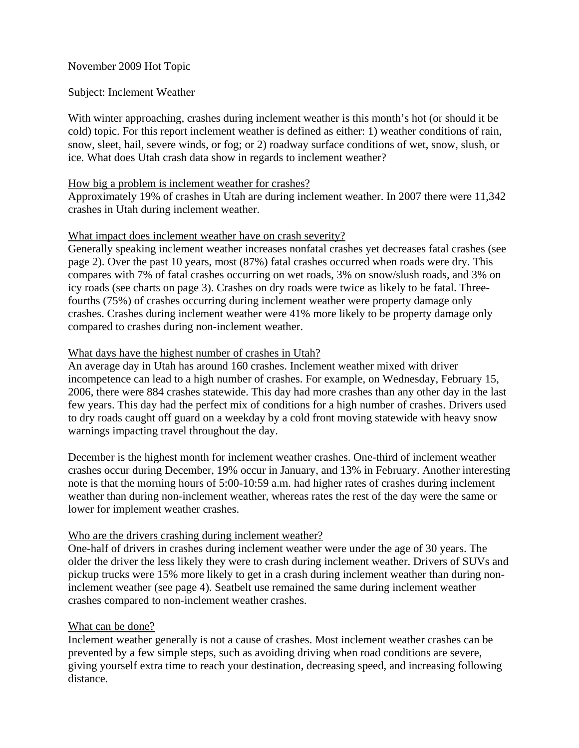# November 2009 Hot Topic

### Subject: Inclement Weather

With winter approaching, crashes during inclement weather is this month's hot (or should it be cold) topic. For this report inclement weather is defined as either: 1) weather conditions of rain, snow, sleet, hail, severe winds, or fog; or 2) roadway surface conditions of wet, snow, slush, or ice. What does Utah crash data show in regards to inclement weather?

#### How big a problem is inclement weather for crashes?

Approximately 19% of crashes in Utah are during inclement weather. In 2007 there were 11,342 crashes in Utah during inclement weather.

### What impact does inclement weather have on crash severity?

Generally speaking inclement weather increases nonfatal crashes yet decreases fatal crashes (see page 2). Over the past 10 years, most (87%) fatal crashes occurred when roads were dry. This compares with 7% of fatal crashes occurring on wet roads, 3% on snow/slush roads, and 3% on icy roads (see charts on page 3). Crashes on dry roads were twice as likely to be fatal. Threefourths (75%) of crashes occurring during inclement weather were property damage only crashes. Crashes during inclement weather were 41% more likely to be property damage only compared to crashes during non-inclement weather.

# What days have the highest number of crashes in Utah?

An average day in Utah has around 160 crashes. Inclement weather mixed with driver incompetence can lead to a high number of crashes. For example, on Wednesday, February 15, 2006, there were 884 crashes statewide. This day had more crashes than any other day in the last few years. This day had the perfect mix of conditions for a high number of crashes. Drivers used to dry roads caught off guard on a weekday by a cold front moving statewide with heavy snow warnings impacting travel throughout the day.

December is the highest month for inclement weather crashes. One-third of inclement weather crashes occur during December, 19% occur in January, and 13% in February. Another interesting note is that the morning hours of 5:00-10:59 a.m. had higher rates of crashes during inclement weather than during non-inclement weather, whereas rates the rest of the day were the same or lower for implement weather crashes.

# Who are the drivers crashing during inclement weather?

One-half of drivers in crashes during inclement weather were under the age of 30 years. The older the driver the less likely they were to crash during inclement weather. Drivers of SUVs and pickup trucks were 15% more likely to get in a crash during inclement weather than during noninclement weather (see page 4). Seatbelt use remained the same during inclement weather crashes compared to non-inclement weather crashes.

#### What can be done?

Inclement weather generally is not a cause of crashes. Most inclement weather crashes can be prevented by a few simple steps, such as avoiding driving when road conditions are severe, giving yourself extra time to reach your destination, decreasing speed, and increasing following distance.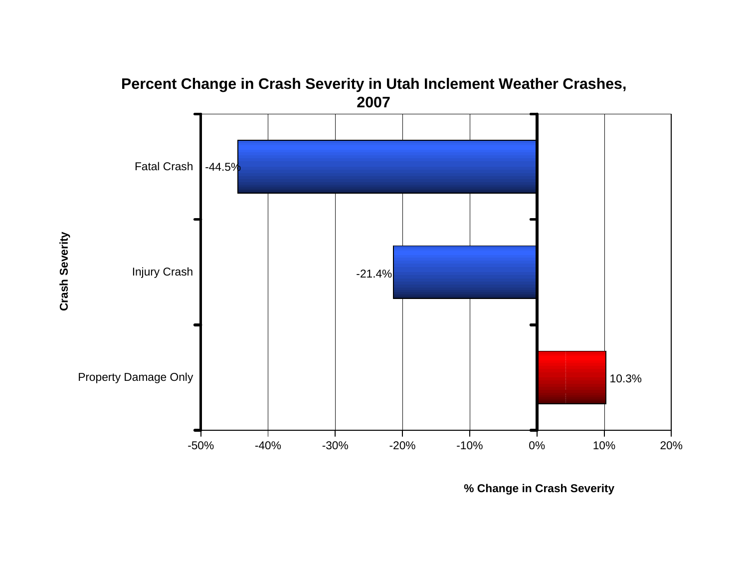

**Percent Change in Crash Severity in Utah Inclement Weather Crashes,** 

**% Change in Crash Severity**

Crash Severity **Crash Severity**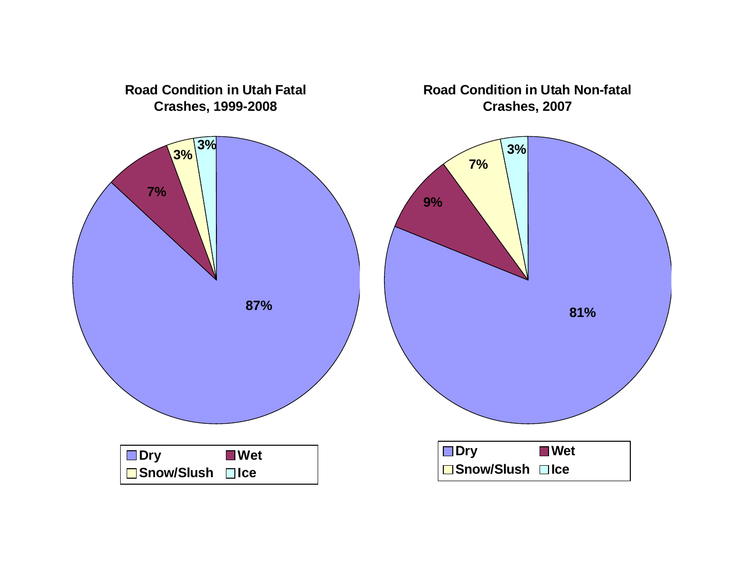